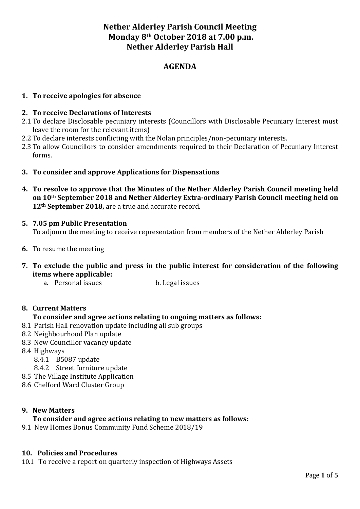# **Nether Alderley Parish Council Meeting Monday 8th October 2018 at 7.00 p.m. Nether Alderley Parish Hall**

# **AGENDA**

# **1. To receive apologies for absence**

## **2. To receive Declarations of Interests**

- 2.1 To declare Disclosable pecuniary interests (Councillors with Disclosable Pecuniary Interest must leave the room for the relevant items)
- 2.2 To declare interests conflicting with the Nolan principles/non-pecuniary interests.
- 2.3 To allow Councillors to consider amendments required to their Declaration of Pecuniary Interest forms.
- **3. To consider and approve Applications for Dispensations**
- **4. To resolve to approve that the Minutes of the Nether Alderley Parish Council meeting held on 10th September 2018 and Nether Alderley Extra-ordinary Parish Council meeting held on 12th September 2018,** are a true and accurate record.
- **5. 7.05 pm Public Presentation** To adjourn the meeting to receive representation from members of the Nether Alderley Parish
- **6.** To resume the meeting
- **7. To exclude the public and press in the public interest for consideration of the following items where applicable:**
	- a. Personal issues b. Legal issues

## **8. Current Matters**

## **To consider and agree actions relating to ongoing matters as follows:**

- 8.1 Parish Hall renovation update including all sub groups
- 8.2 Neighbourhood Plan update
- 8.3 New Councillor vacancy update
- 8.4 Highways
	- 8.4.1 B5087 update
	- 8.4.2 Street furniture update
- 8.5 The Village Institute Application
- 8.6 Chelford Ward Cluster Group

## **9. New Matters**

## **To consider and agree actions relating to new matters as follows:**

9.1 New Homes Bonus Community Fund Scheme 2018/19

### **10. Policies and Procedures**

10.1 To receive a report on quarterly inspection of Highways Assets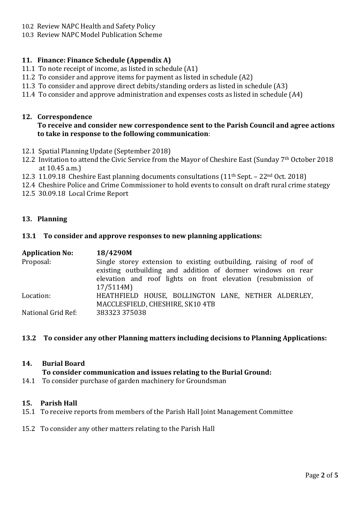- 10.2 Review NAPC Health and Safety Policy
- 10.3 Review NAPC Model Publication Scheme

# **11. Finance: Finance Schedule (Appendix A)**

- 11.1 To note receipt of income, as listed in schedule (A1)
- 11.2 To consider and approve items for payment as listed in schedule (A2)
- 11.3 To consider and approve direct debits/standing orders as listed in schedule (A3)
- 11.4 To consider and approve administration and expenses costs as listed in schedule (A4)

# **12. Correspondence**

## **To receive and consider new correspondence sent to the Parish Council and agree actions to take in response to the following communication**:

- 12.1 Spatial Planning Update (September 2018)
- 12.2 Invitation to attend the Civic Service from the Mayor of Cheshire East (Sunday 7th October 2018 at 10.45 a.m.)
- 12.3 11.09.18 Cheshire East planning documents consultations (11th Sept. 22nd Oct. 2018)
- 12.4 Cheshire Police and Crime Commissioner to hold events to consult on draft rural crime stategy
- 12.5 30.09.18 Local Crime Report

## **13. Planning**

## **13.1 To consider and approve responses to new planning applications:**

| <b>Application No:</b> | 18/4290M                                                                                                                                                                                            |
|------------------------|-----------------------------------------------------------------------------------------------------------------------------------------------------------------------------------------------------|
| Proposal:              | Single storey extension to existing outbuilding, raising of roof of<br>existing outbuilding and addition of dormer windows on rear<br>elevation and roof lights on front elevation (resubmission of |
|                        | 17/5114M)                                                                                                                                                                                           |
| Location:              | HEATHFIELD HOUSE, BOLLINGTON LANE, NETHER ALDERLEY,<br>MACCLESFIELD, CHESHIRE, SK10 4TB                                                                                                             |
| National Grid Ref:     | 383323 375038                                                                                                                                                                                       |

### **13.2 To consider any other Planning matters including decisions to Planning Applications:**

### **14. Burial Board**

### **To consider communication and issues relating to the Burial Ground:**

14.1 To consider purchase of garden machinery for Groundsman

### **15. Parish Hall**

- 15.1 To receive reports from members of the Parish Hall Joint Management Committee
- 15.2 To consider any other matters relating to the Parish Hall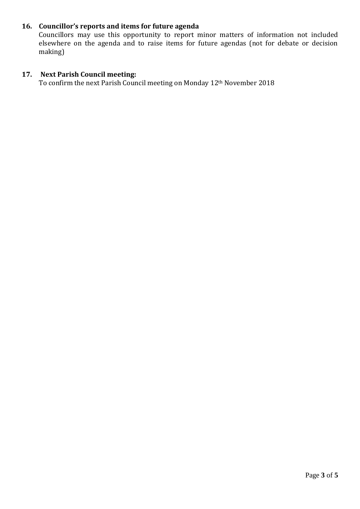# **16. Councillor's reports and items for future agenda**

Councillors may use this opportunity to report minor matters of information not included elsewhere on the agenda and to raise items for future agendas (not for debate or decision making)

# **17. Next Parish Council meeting:**

To confirm the next Parish Council meeting on Monday 12th November 2018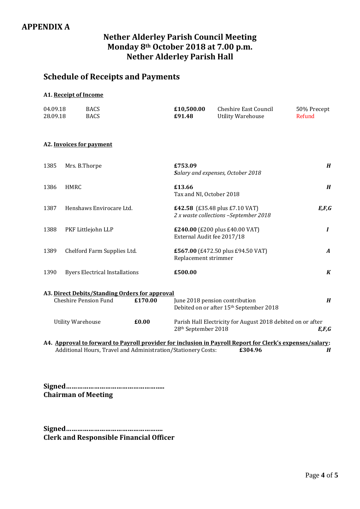# **APPENDIX A**

# **Nether Alderley Parish Council Meeting Monday 8th October 2018 at 7.00 p.m. Nether Alderley Parish Hall**

# **Schedule of Receipts and Payments**

### **A1. Receipt of Income**

| 04.09.18 | <b>BACS</b> | £10.500.00 | Cheshire East Council    | 50% Precept |
|----------|-------------|------------|--------------------------|-------------|
| 28.09.18 | <b>BACS</b> | £91.48     | <b>Utility Warehouse</b> | Refund      |

### **A2. Invoices for payment**

| 1385                              | Mrs. B.Thorpe                                                                  |         | £753.09<br>Salary and expenses, October 2018                                                              | $\boldsymbol{H}$ |
|-----------------------------------|--------------------------------------------------------------------------------|---------|-----------------------------------------------------------------------------------------------------------|------------------|
| 1386                              | <b>HMRC</b>                                                                    |         | £13.66<br>Tax and NI, October 2018                                                                        | H                |
| 1387                              | Henshaws Envirocare Ltd.                                                       |         | <b>£42.58</b> (£35.48 plus £7.10 VAT)<br>2 x waste collections -September 2018                            | E, F, G          |
| 1388                              | PKF Littlejohn LLP                                                             |         | £240.00 (£200 plus £40.00 VAT)<br>External Audit fee 2017/18                                              | $\boldsymbol{I}$ |
| 1389                              | Chelford Farm Supplies Ltd.                                                    |         | £567.00 (£472.50 plus £94.50 VAT)<br>Replacement strimmer                                                 | $\boldsymbol{A}$ |
| 1390                              | <b>Byers Electrical Installations</b>                                          |         | £500.00                                                                                                   | $\boldsymbol{K}$ |
|                                   | A3. Direct Debits/Standing Orders for approval<br><b>Cheshire Pension Fund</b> | £170.00 | June 2018 pension contribution<br>Debited on or after 15 <sup>th</sup> September 2018                     | $\boldsymbol{H}$ |
| £0.00<br><b>Utility Warehouse</b> |                                                                                |         | Parish Hall Electricity for August 2018 debited on or after<br>28 <sup>th</sup> September 2018            | E,F,G            |
|                                   |                                                                                |         | A A Annuarial to formand to Dornall nuariday for including in Dornall Donant for Clark's amongos (solomni |                  |

**A4. Approval to forward to Payroll provider for inclusion in Payroll Report for Clerk's expenses/salary:** Additional Hours, Travel and Administration/Stationery Costs: **£304.96** *H*

**Signed…………………………………………….. Chairman of Meeting**

**Signed……………………………………………. Clerk and Responsible Financial Officer**